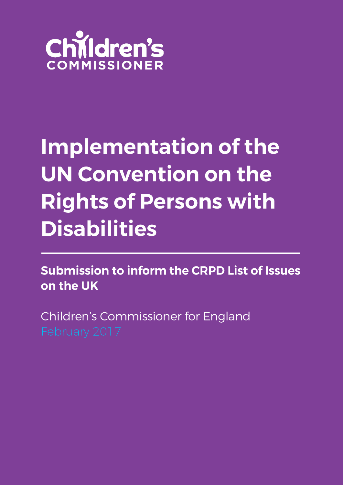

# **Implementation of the** UN Convention on the **Rights of Persons with Disabilities**

**Submission to inform the CRPD List of Issues** on the UK

Children's Commissioner for England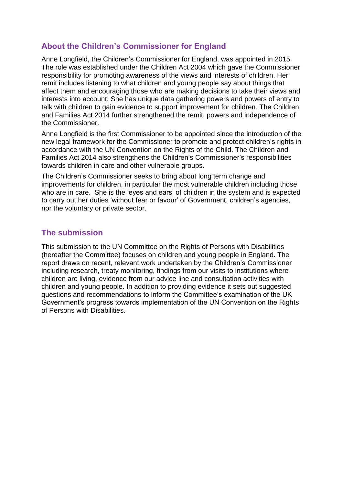# **About the Children's Commissioner for England**

Anne Longfield, the Children's Commissioner for England, was appointed in 2015. The role was established under the Children Act 2004 which gave the Commissioner responsibility for promoting awareness of the views and interests of children. Her remit includes listening to what children and young people say about things that affect them and encouraging those who are making decisions to take their views and interests into account. She has unique data gathering powers and powers of entry to talk with children to gain evidence to support improvement for children. The Children and Families Act 2014 further strengthened the remit, powers and independence of the Commissioner.

Anne Longfield is the first Commissioner to be appointed since the introduction of the new legal framework for the Commissioner to promote and protect children's rights in accordance with the UN Convention on the Rights of the Child. The Children and Families Act 2014 also strengthens the Children's Commissioner's responsibilities towards children in care and other vulnerable groups.

The Children's Commissioner seeks to bring about long term change and improvements for children, in particular the most vulnerable children including those who are in care. She is the 'eyes and ears' of children in the system and is expected to carry out her duties 'without fear or favour' of Government, children's agencies, nor the voluntary or private sector.

# **The submission**

This submission to the UN Committee on the Rights of Persons with Disabilities (hereafter the Committee) focuses on children and young people in England**.** The report draws on recent, relevant work undertaken by the Children's Commissioner including research, treaty monitoring, findings from our visits to institutions where children are living, evidence from our advice line and consultation activities with children and young people. In addition to providing evidence it sets out suggested questions and recommendations to inform the Committee's examination of the UK Government's progress towards implementation of the UN Convention on the Rights of Persons with Disabilities.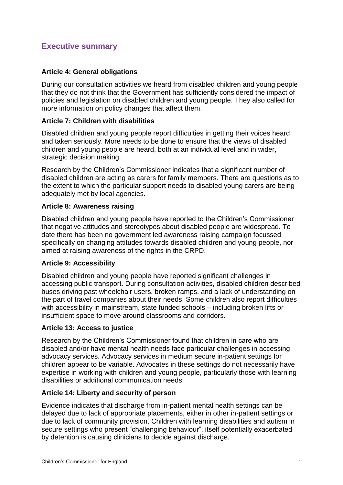# **Executive summary**

# **Article 4: General obligations**

During our consultation activities we heard from disabled children and young people that they do not think that the Government has sufficiently considered the impact of policies and legislation on disabled children and young people. They also called for more information on policy changes that affect them.

#### **Article 7: Children with disabilities**

Disabled children and young people report difficulties in getting their voices heard and taken seriously. More needs to be done to ensure that the views of disabled children and young people are heard, both at an individual level and in wider, strategic decision making.

Research by the Children's Commissioner indicates that a significant number of disabled children are acting as carers for family members. There are questions as to the extent to which the particular support needs to disabled young carers are being adequately met by local agencies.

#### **Article 8: Awareness raising**

Disabled children and young people have reported to the Children's Commissioner that negative attitudes and stereotypes about disabled people are widespread. To date there has been no government led awareness raising campaign focussed specifically on changing attitudes towards disabled children and young people, nor aimed at raising awareness of the rights in the CRPD.

#### **Article 9: Accessibility**

Disabled children and young people have reported significant challenges in accessing public transport. During consultation activities, disabled children described buses driving past wheelchair users, broken ramps, and a lack of understanding on the part of travel companies about their needs. Some children also report difficulties with accessibility in mainstream, state funded schools – including broken lifts or insufficient space to move around classrooms and corridors.

#### **Article 13: Access to justice**

Research by the Children's Commissioner found that children in care who are disabled and/or have mental health needs face particular challenges in accessing advocacy services. Advocacy services in medium secure in-patient settings for children appear to be variable. Advocates in these settings do not necessarily have expertise in working with children and young people, particularly those with learning disabilities or additional communication needs.

#### **Article 14: Liberty and security of person**

Evidence indicates that discharge from in-patient mental health settings can be delayed due to lack of appropriate placements, either in other in-patient settings or due to lack of community provision. Children with learning disabilities and autism in secure settings who present "challenging behaviour", itself potentially exacerbated by detention is causing clinicians to decide against discharge.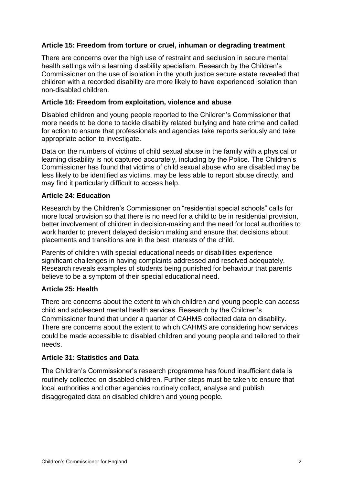# **Article 15: Freedom from torture or cruel, inhuman or degrading treatment**

There are concerns over the high use of restraint and seclusion in secure mental health settings with a learning disability specialism. Research by the Children's Commissioner on the use of isolation in the youth justice secure estate revealed that children with a recorded disability are more likely to have experienced isolation than non-disabled children.

#### **Article 16: Freedom from exploitation, violence and abuse**

Disabled children and young people reported to the Children's Commissioner that more needs to be done to tackle disability related bullying and hate crime and called for action to ensure that professionals and agencies take reports seriously and take appropriate action to investigate.

Data on the numbers of victims of child sexual abuse in the family with a physical or learning disability is not captured accurately, including by the Police. The Children's Commissioner has found that victims of child sexual abuse who are disabled may be less likely to be identified as victims, may be less able to report abuse directly, and may find it particularly difficult to access help.

#### **Article 24: Education**

Research by the Children's Commissioner on "residential special schools" calls for more local provision so that there is no need for a child to be in residential provision, better involvement of children in decision-making and the need for local authorities to work harder to prevent delayed decision making and ensure that decisions about placements and transitions are in the best interests of the child.

Parents of children with special educational needs or disabilities experience significant challenges in having complaints addressed and resolved adequately. Research reveals examples of students being punished for behaviour that parents believe to be a symptom of their special educational need.

#### **Article 25: Health**

There are concerns about the extent to which children and young people can access child and adolescent mental health services. Research by the Children's Commissioner found that under a quarter of CAHMS collected data on disability. There are concerns about the extent to which CAHMS are considering how services could be made accessible to disabled children and young people and tailored to their needs.

#### **Article 31: Statistics and Data**

The Children's Commissioner's research programme has found insufficient data is routinely collected on disabled children. Further steps must be taken to ensure that local authorities and other agencies routinely collect, analyse and publish disaggregated data on disabled children and young people.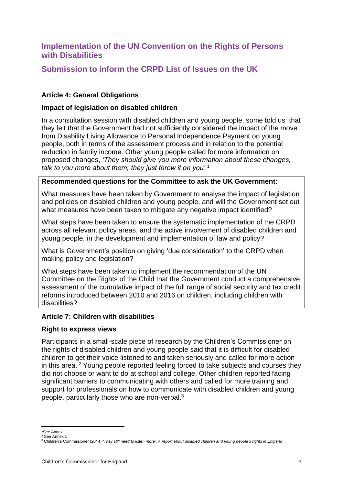# **Implementation of the UN Convention on the Rights of Persons with Disabilities**

# **Submission to inform the CRPD List of Issues on the UK**

# **Article 4: General Obligations**

#### **Impact of legislation on disabled children**

In a consultation session with disabled children and young people, some told us that they felt that the Government had not sufficiently considered the impact of the move from Disability Living Allowance to Personal Independence Payment on young people, both in terms of the assessment process and in relation to the potential reduction in family income. Other young people called for more information on proposed changes, *'They should give you more information about these changes, talk to you more about them, they just throw it on you'*. 1

#### **Recommended questions for the Committee to ask the UK Government:**

What measures have been taken by Government to analyse the impact of legislation and policies on disabled children and young people, and will the Government set out what measures have been taken to mitigate any negative impact identified?

What steps have been taken to ensure the systematic implementation of the CRPD across all relevant policy areas, and the active involvement of disabled children and young people, in the development and implementation of law and policy?

What is Government's position on giving 'due consideration' to the CRPD when making policy and legislation?

What steps have been taken to implement the recommendation of the UN Committee on the Rights of the Child that the Government conduct a comprehensive assessment of the cumulative impact of the full range of social security and tax credit reforms introduced between 2010 and 2016 on children, including children with disabilities?

#### **Article 7: Children with disabilities**

#### **Right to express views**

Participants in a small-scale piece of research by the Children's Commissioner on the rights of disabled children and young people said that it is difficult for disabled children to get their voice listened to and taken seriously and called for more action in this area. <sup>2</sup> Young people reported feeling forced to take subjects and courses they did not choose or want to do at school and college. Other children reported facing significant barriers to communicating with others and called for more training and support for professionals on how to communicate with disabled children and young people, particularly those who are non-verbal.<sup>3</sup>

**.** 

<sup>1</sup>See Annex 1 <sup>2</sup> See Annex 1

<sup>3</sup> Children's Commissioner (2014) *'They still need to listen more'. A report about disabled children and young people's rights in England*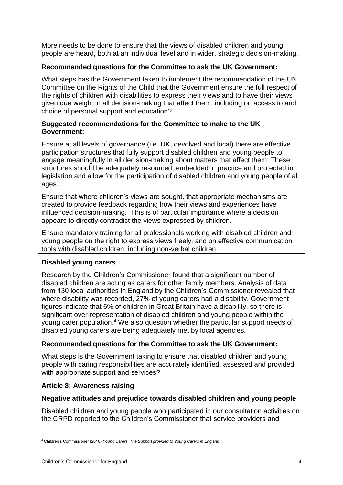More needs to be done to ensure that the views of disabled children and young people are heard, both at an individual level and in wider, strategic decision-making.

# **Recommended questions for the Committee to ask the UK Government:**

What steps has the Government taken to implement the recommendation of the UN Committee on the Rights of the Child that the Government ensure the full respect of the rights of children with disabilities to express their views and to have their views given due weight in all decision-making that affect them, including on access to and choice of personal support and education?

## **Suggested recommendations for the Committee to make to the UK Government:**

Ensure at all levels of governance (i.e. UK, devolved and local) there are effective participation structures that fully support disabled children and young people to engage meaningfully in all decision-making about matters that affect them. These structures should be adequately resourced, embedded in practice and protected in legislation and allow for the participation of disabled children and young people of all ages.

Ensure that where children's views are sought, that appropriate mechanisms are created to provide feedback regarding how their views and experiences have influenced decision-making. This is of particular importance where a decision appears to directly contradict the views expressed by children.

Ensure mandatory training for all professionals working with disabled children and young people on the right to express views freely, and on effective communication tools with disabled children, including non-verbal children.

#### **Disabled young carers**

Research by the Children's Commissioner found that a significant number of disabled children are acting as carers for other family members. Analysis of data from 130 local authorities in England by the Children's Commissioner revealed that where disability was recorded, 27% of young carers had a disability. Government figures indicate that 6% of children in Great Britain have a disability, so there is significant over-representation of disabled children and young people within the young carer population.<sup>4</sup> We also question whether the particular support needs of disabled young carers are being adequately met by local agencies.

# **Recommended questions for the Committee to ask the UK Government:**

What steps is the Government taking to ensure that disabled children and young people with caring responsibilities are accurately identified, assessed and provided with appropriate support and services?

#### **Article 8: Awareness raising**

# **Negative attitudes and prejudice towards disabled children and young people**

Disabled children and young people who participated in our consultation activities on the CRPD reported to the Children's Commissioner that service providers and

**.** 

<sup>4</sup> Children's Commissioner (2016) *Young Carers. The Support provided to Young Carers in England*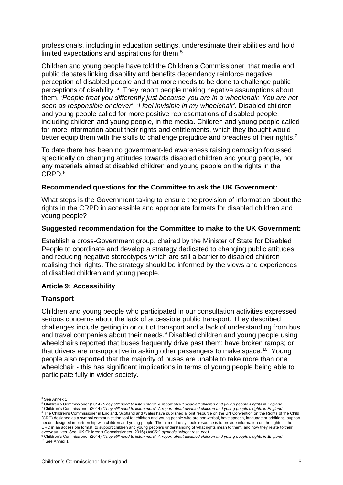professionals, including in education settings, underestimate their abilities and hold limited expectations and aspirations for them.<sup>5</sup>

Children and young people have told the Children's Commissioner that media and public debates linking disability and benefits dependency reinforce negative perception of disabled people and that more needs to be done to challenge public perceptions of disability. <sup>6</sup> They report people making negative assumptions about them, *'People treat you differently just because you are in a wheelchair. You are not seen as responsible or clever'*, *'I feel invisible in my wheelchair'*. Disabled children and young people called for more positive representations of disabled people, including children and young people, in the media. Children and young people called for more information about their rights and entitlements, which they thought would better equip them with the skills to challenge prejudice and breaches of their rights.<sup>7</sup>

To date there has been no government-led awareness raising campaign focussed specifically on changing attitudes towards disabled children and young people, nor any materials aimed at disabled children and young people on the rights in the CRPD.<sup>8</sup>

#### **Recommended questions for the Committee to ask the UK Government:**

What steps is the Government taking to ensure the provision of information about the rights in the CRPD in accessible and appropriate formats for disabled children and young people?

#### **Suggested recommendation for the Committee to make to the UK Government:**

Establish a cross-Government group, chaired by the Minister of State for Disabled People to coordinate and develop a strategy dedicated to changing public attitudes and reducing negative stereotypes which are still a barrier to disabled children realising their rights. The strategy should be informed by the views and experiences of disabled children and young people.

#### **Article 9: Accessibility**

#### **Transport**

Children and young people who participated in our consultation activities expressed serious concerns about the lack of accessible public transport. They described challenges include getting in or out of transport and a lack of understanding from bus and travel companies about their needs.<sup>9</sup> Disabled children and young people using wheelchairs reported that buses frequently drive past them; have broken ramps; or that drivers are unsupportive in asking other passengers to make space.<sup>10</sup> Young people also reported that the majority of buses are unable to take more than one wheelchair - this has significant implications in terms of young people being able to participate fully in wider society.

<sup>7</sup> Children's Commissioner (2014) *'They still need to listen more'. A report about disabled children and young people's rights in England* 8 The Children's Commissioner in England, Scotland and Wales have published a joint resource on the UN Convention on the Rights of the Child (CRC) designed as a symbol communication tool for children and young people who are non-verbal, have speech, language or additional support needs, designed in partnership with children and young people. The aim of the symbols resource is to provide information on the rights in the CRC in an accessible format; to support children and young people's understanding of what rights mean to them, and how they relate to their

**<sup>.</sup>** <sup>5</sup> See Annex 1

<sup>6</sup> Children's Commissioner (2014) *'They still need to listen more'. A report about disabled children and young people's rights in England*

everyday lives. See: UK Children's Commissioners (2016) *UNCRC symbols (widget resource)*<br><sup>9</sup> Children's Commissioner (2014) *'They still need to listen more'. A report about disabled children and young people's rights in* <sup>10</sup> See Annex 1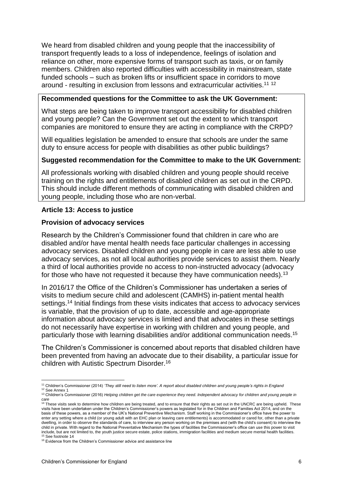We heard from disabled children and young people that the inaccessibility of transport frequently leads to a loss of independence, feelings of isolation and reliance on other, more expensive forms of transport such as taxis, or on family members. Children also reported difficulties with accessibility in mainstream, state funded schools – such as broken lifts or insufficient space in corridors to move around - resulting in exclusion from lessons and extracurricular activities.<sup>11 12</sup>

#### **Recommended questions for the Committee to ask the UK Government:**

What steps are being taken to improve transport accessibility for disabled children and young people? Can the Government set out the extent to which transport companies are monitored to ensure they are acting in compliance with the CRPD?

Will equalities legislation be amended to ensure that schools are under the same duty to ensure access for people with disabilities as other public buildings?

#### **Suggested recommendation for the Committee to make to the UK Government:**

All professionals working with disabled children and young people should receive training on the rights and entitlements of disabled children as set out in the CRPD. This should include different methods of communicating with disabled children and young people, including those who are non-verbal.

#### **Article 13: Access to justice**

#### **Provision of advocacy services**

Research by the Children's Commissioner found that children in care who are disabled and/or have mental health needs face particular challenges in accessing advocacy services. Disabled children and young people in care are less able to use advocacy services, as not all local authorities provide services to assist them. Nearly a third of local authorities provide no access to non-instructed advocacy (advocacy for those who have not requested it because they have communication needs).<sup>13</sup>

In 2016/17 the Office of the Children's Commissioner has undertaken a series of visits to medium secure child and adolescent (CAMHS) in-patient mental health settings.<sup>14</sup> Initial findings from these visits indicates that access to advocacy services is variable, that the provision of up to date, accessible and age-appropriate information about advocacy services is limited and that advocates in these settings do not necessarily have expertise in working with children and young people, and particularly those with learning disabilities and/or additional communication needs. 15

The Children's Commissioner is concerned about reports that disabled children have been prevented from having an advocate due to their disability, a particular issue for children with Autistic Spectrum Disorder.<sup>16</sup>

<sup>1</sup> <sup>11</sup> Children's Commissioner (2014) *'They still need to listen more'. A report about disabled children and young people's rights in England*

<sup>&</sup>lt;sup>12</sup> See Annex 1

<sup>13</sup> Children's Commissioner (2016) *Helping children get the care experience they need. Independent advocacy for children and young people in care*

<sup>&</sup>lt;sup>14</sup> These visits seek to determine how children are being treated, and to ensure that their rights as set out in the UNCRC are being upheld. These visits have been undertaken under the Children's Commissioner's powers as legislated for in the Children and Families Act 2014, and on the basis of these powers, as a member of the UK's National Preventive Mechanism. Staff working in the Commissioner's office have the power to enter any setting where a child (or young adult with an EHC plan or leaving care entitlements) is accommodated or cared for, other than a private dwelling, in order to observe the standards of care, to interview any person working on the premises and (with the child's consent) to interview the child in private. With regard to the National Preventative Mechanism the types of facilities the Commissioner's office can use this power to visit include, but are not limited to, the youth justice secure estate, police stations, immigration facilities and medium secure mental health facilities. <sup>5</sup> See footnote 14

<sup>&</sup>lt;sup>16</sup> Evidence from the Children's Commissioner advice and assistance line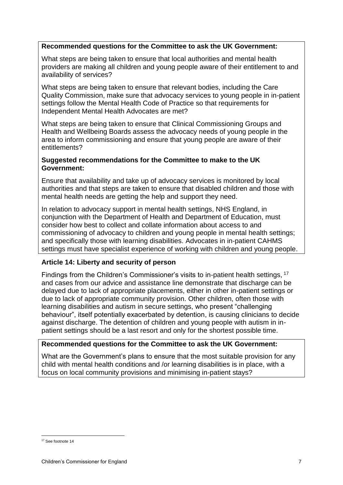## **Recommended questions for the Committee to ask the UK Government:**

What steps are being taken to ensure that local authorities and mental health providers are making all children and young people aware of their entitlement to and availability of services?

What steps are being taken to ensure that relevant bodies, including the Care Quality Commission, make sure that advocacy services to young people in in-patient settings follow the Mental Health Code of Practice so that requirements for Independent Mental Health Advocates are met?

What steps are being taken to ensure that Clinical Commissioning Groups and Health and Wellbeing Boards assess the advocacy needs of young people in the area to inform commissioning and ensure that young people are aware of their entitlements?

## **Suggested recommendations for the Committee to make to the UK Government:**

Ensure that availability and take up of advocacy services is monitored by local authorities and that steps are taken to ensure that disabled children and those with mental health needs are getting the help and support they need.

In relation to advocacy support in mental health settings, NHS England, in conjunction with the Department of Health and Department of Education, must consider how best to collect and collate information about access to and commissioning of advocacy to children and young people in mental health settings; and specifically those with learning disabilities. Advocates in in-patient CAHMS settings must have specialist experience of working with children and young people.

#### **Article 14: Liberty and security of person**

Findings from the Children's Commissioner's visits to in-patient health settings, <sup>17</sup> and cases from our advice and assistance line demonstrate that discharge can be delayed due to lack of appropriate placements, either in other in-patient settings or due to lack of appropriate community provision. Other children, often those with learning disabilities and autism in secure settings, who present "challenging behaviour", itself potentially exacerbated by detention, is causing clinicians to decide against discharge. The detention of children and young people with autism in inpatient settings should be a last resort and only for the shortest possible time.

# **Recommended questions for the Committee to ask the UK Government:**

What are the Government's plans to ensure that the most suitable provision for any child with mental health conditions and /or learning disabilities is in place, with a focus on local community provisions and minimising in-patient stays?

**<sup>.</sup>** <sup>17</sup> See footnote 14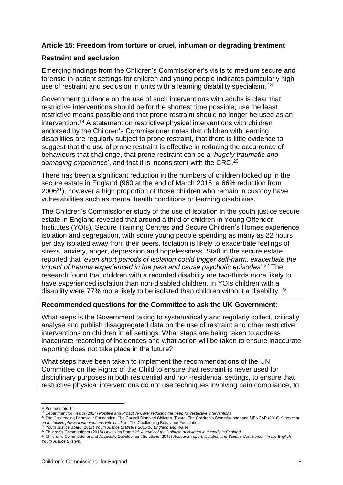# **Article 15: Freedom from torture or cruel, inhuman or degrading treatment**

#### **Restraint and seclusion**

Emerging findings from the Children's Commissioner's visits to medium secure and forensic in-patient settings for children and young people indicates particularly high use of restraint and seclusion in units with a learning disability specialism. <sup>18</sup>

Government guidance on the use of such interventions with adults is clear that restrictive interventions should be for the shortest time possible, use the least restrictive means possible and that prone restraint should no longer be used as an intervention. <sup>19</sup> A statement on restrictive physical interventions with children endorsed by the Children's Commissioner notes that children with learning disabilities are regularly subject to prone restraint, that there is little evidence to suggest that the use of prone restraint is effective in reducing the occurrence of behaviours that challenge, that prone restraint can be a *'hugely traumatic and damaging experience*', and that it is inconsistent with the CRC. 20

There has been a significant reduction in the numbers of children locked up in the secure estate in England (960 at the end of March 2016, a 66% reduction from 2006<sup>21</sup>), however a high proportion of those children who remain in custody have vulnerabilities such as mental health conditions or learning disabilities.

The Children's Commissioner study of the use of isolation in the youth justice secure estate in England revealed that around a third of children in Young Offender Institutes (YOIs), Secure Training Centres and Secure Children's Homes experience isolation and segregation, with some young people spending as many as 22 hours per day isolated away from their peers. Isolation is likely to exacerbate feelings of stress, anxiety, anger, depression and hopelessness. Staff in the secure estate reported that *'even short periods of isolation could trigger self-harm, exacerbate the impact of trauma experienced in the past and cause psychotic episodes'*. <sup>22</sup> The research found that children with a recorded disability are two-thirds more likely to have experienced isolation than non-disabled children. In YOIs children with a disability were 77% more likely to be isolated than children without a disability. <sup>23</sup>

#### **Recommended questions for the Committee to ask the UK Government:**

What steps is the Government taking to systematically and regularly collect, critically analyse and publish disaggregated data on the use of restraint and other restrictive interventions on children in all settings. What steps are being taken to address inaccurate recording of incidences and what action will be taken to ensure inaccurate reporting does not take place in the future?

What steps have been taken to implement the recommendations of the UN Committee on the Rights of the Child to ensure that restraint is never used for disciplinary purposes in both residential and non-residential settings, to ensure that restrictive physical interventions do not use techniques involving pain compliance, to

 $\overline{a}$ 

<sup>18</sup> See footnote 14

<sup>19</sup> Department for Health (2014) *Positive and Proactive Care: reducing the need for restrictive interventions* 

<sup>20</sup> The Challenging Behaviour Foundation, The Council Disabled Children, Tizard, The Children's Commissioner and MENCAP (2016) *Statement on restrictive physical interventions with children*. The Challenging Behaviour Foundation. <sup>21</sup> Youth Justice Board (2017) *Youth Justice Statistics 2015/16 England and Wales*

<sup>22</sup> Children's Commissioner (2015) *Unlocking Potential. A study of the isolation of children in custody in England.*  <sup>23</sup> Children's Commissioner and Associate Development Solutions (2015) *Research report: Isolation and Solitary Confinement in the English* 

*Youth Justice System.*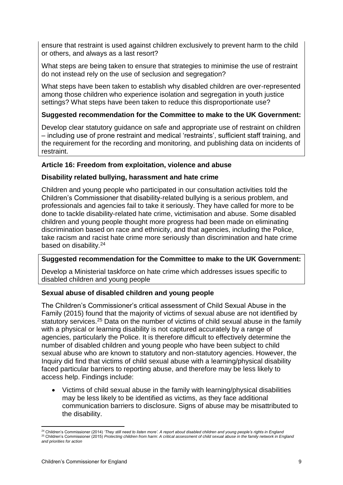ensure that restraint is used against children exclusively to prevent harm to the child or others, and always as a last resort?

What steps are being taken to ensure that strategies to minimise the use of restraint do not instead rely on the use of seclusion and segregation?

What steps have been taken to establish why disabled children are over-represented among those children who experience isolation and segregation in youth justice settings? What steps have been taken to reduce this disproportionate use?

# **Suggested recommendation for the Committee to make to the UK Government:**

Develop clear statutory guidance on safe and appropriate use of restraint on children – including use of prone restraint and medical 'restraints', sufficient staff training, and the requirement for the recording and monitoring, and publishing data on incidents of restraint.

#### **Article 16: Freedom from exploitation, violence and abuse**

# **Disability related bullying, harassment and hate crime**

Children and young people who participated in our consultation activities told the Children's Commissioner that disability-related bullying is a serious problem, and professionals and agencies fail to take it seriously. They have called for more to be done to tackle disability-related hate crime, victimisation and abuse. Some disabled children and young people thought more progress had been made on eliminating discrimination based on race and ethnicity, and that agencies, including the Police, take racism and racist hate crime more seriously than discrimination and hate crime based on disability.<sup>24</sup>

# **Suggested recommendation for the Committee to make to the UK Government:**

Develop a Ministerial taskforce on hate crime which addresses issues specific to disabled children and young people

#### **Sexual abuse of disabled children and young people**

The Children's Commissioner's critical assessment of Child Sexual Abuse in the Family (2015) found that the majority of victims of sexual abuse are not identified by statutory services.<sup>25</sup> Data on the number of victims of child sexual abuse in the family with a physical or learning disability is not captured accurately by a range of agencies, particularly the Police. It is therefore difficult to effectively determine the number of disabled children and young people who have been subject to child sexual abuse who are known to statutory and non-statutory agencies. However, the Inquiry did find that victims of child sexual abuse with a learning/physical disability faced particular barriers to reporting abuse, and therefore may be less likely to access help. Findings include:

 Victims of child sexual abuse in the family with learning/physical disabilities may be less likely to be identified as victims, as they face additional communication barriers to disclosure. Signs of abuse may be misattributed to the disability.

**.** 

<sup>24</sup> Children's Commissioner (2014) *'They still need to listen more'. A report about disabled children and young people's rights in England* <sup>25</sup> Children's Commissioner (2015) *Protecting children from harm*: *A critical assessment of child sexual abuse in the family network in England and priorities for action*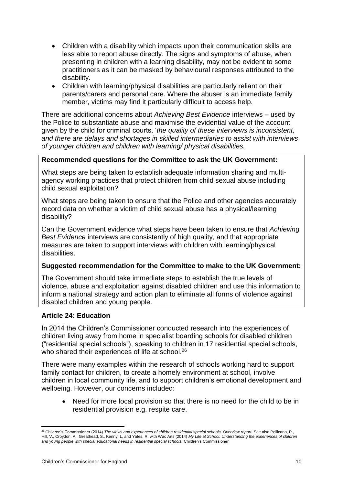- Children with a disability which impacts upon their communication skills are less able to report abuse directly. The signs and symptoms of abuse, when presenting in children with a learning disability, may not be evident to some practitioners as it can be masked by behavioural responses attributed to the disability.
- Children with learning/physical disabilities are particularly reliant on their parents/carers and personal care. Where the abuser is an immediate family member, victims may find it particularly difficult to access help.

There are additional concerns about *Achieving Best Evidence* interviews – used by the Police to substantiate abuse and maximise the evidential value of the account given by the child for criminal courts, '*the quality of these interviews is inconsistent, and there are delays and shortages in skilled intermediaries to assist with interviews of younger children and children with learning/ physical disabilities.*

# **Recommended questions for the Committee to ask the UK Government:**

What steps are being taken to establish adequate information sharing and multiagency working practices that protect children from child sexual abuse including child sexual exploitation?

What steps are being taken to ensure that the Police and other agencies accurately record data on whether a victim of child sexual abuse has a physical/learning disability?

Can the Government evidence what steps have been taken to ensure that *Achieving Best Evidence* interviews are consistently of high quality, and that appropriate measures are taken to support interviews with children with learning/physical disabilities.

#### **Suggested recommendation for the Committee to make to the UK Government:**

The Government should take immediate steps to establish the true levels of violence, abuse and exploitation against disabled children and use this information to inform a national strategy and action plan to eliminate all forms of violence against disabled children and young people.

#### **Article 24: Education**

In 2014 the Children's Commissioner conducted research into the experiences of children living away from home in specialist boarding schools for disabled children ("residential special schools"), speaking to children in 17 residential special schools, who shared their experiences of life at school.<sup>26</sup>

There were many examples within the research of schools working hard to support family contact for children, to create a homely environment at school, involve children in local community life, and to support children's emotional development and wellbeing. However, our concerns included:

 Need for more local provision so that there is no need for the child to be in residential provision e.g. respite care.

**.** 

<sup>26</sup> Children's Commissioner (2014) *The views and experiences of children residential special schools. Overview report*. See also Pellicano, P., Hill, V., Croydon, A., Greathead, S., Kenny, L, and Yates, R. with Wac Arts (2014) *My Life at School. Understanding the experiences of children and young people with special educational needs in residential special schools.* Children's Commissioner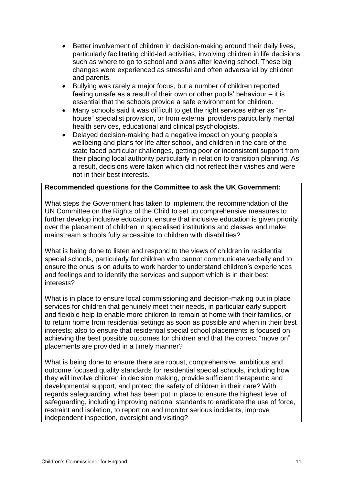- Better involvement of children in decision-making around their daily lives, particularly facilitating child-led activities, involving children in life decisions such as where to go to school and plans after leaving school. These big changes were experienced as stressful and often adversarial by children and parents.
- Bullying was rarely a major focus, but a number of children reported feeling unsafe as a result of their own or other pupils' behaviour – it is essential that the schools provide a safe environment for children.
- Many schools said it was difficult to get the right services either as "inhouse" specialist provision, or from external providers particularly mental health services, educational and clinical psychologists.
- Delayed decision-making had a negative impact on young people's wellbeing and plans for life after school, and children in the care of the state faced particular challenges, getting poor or inconsistent support from their placing local authority particularly in relation to transition planning. As a result, decisions were taken which did not reflect their wishes and were not in their best interests.

# **Recommended questions for the Committee to ask the UK Government:**

What steps the Government has taken to implement the recommendation of the UN Committee on the Rights of the Child to set up comprehensive measures to further develop inclusive education, ensure that inclusive education is given priority over the placement of children in specialised institutions and classes and make mainstream schools fully accessible to children with disabilities?

What is being done to listen and respond to the views of children in residential special schools, particularly for children who cannot communicate verbally and to ensure the onus is on adults to work harder to understand children's experiences and feelings and to identify the services and support which is in their best interests?

What is in place to ensure local commissioning and decision-making put in place services for children that genuinely meet their needs, in particular early support and flexible help to enable more children to remain at home with their families, or to return home from residential settings as soon as possible and when in their best interests; also to ensure that residential special school placements is focused on achieving the best possible outcomes for children and that the correct "move on" placements are provided in a timely manner?

What is being done to ensure there are robust, comprehensive, ambitious and outcome focused quality standards for residential special schools, including how they will involve children in decision making, provide sufficient therapeutic and developmental support, and protect the safety of children in their care? With regards safeguarding, what has been put in place to ensure the highest level of safeguarding, including improving national standards to eradicate the use of force, restraint and isolation, to report on and monitor serious incidents, improve independent inspection, oversight and visiting?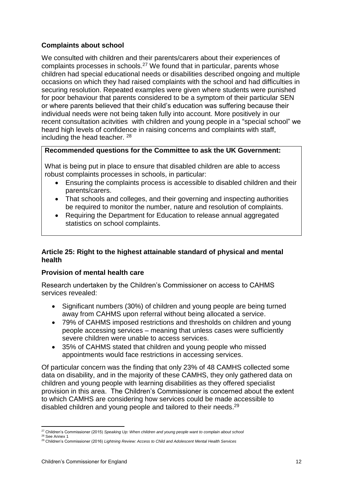# **Complaints about school**

We consulted with children and their parents/carers about their experiences of complaints processes in schools.<sup>27</sup> We found that in particular, parents whose children had special educational needs or disabilities described ongoing and multiple occasions on which they had raised complaints with the school and had difficulties in securing resolution. Repeated examples were given where students were punished for poor behaviour that parents considered to be a symptom of their particular SEN or where parents believed that their child's education was suffering because their individual needs were not being taken fully into account. More positively in our recent consultation acitvities with children and young people in a "special school" we heard high levels of confidence in raising concerns and complaints with staff, including the head teacher. <sup>28</sup>

# **Recommended questions for the Committee to ask the UK Government:**

What is being put in place to ensure that disabled children are able to access robust complaints processes in schools, in particular:

- Ensuring the complaints process is accessible to disabled children and their parents/carers.
- That schools and colleges, and their governing and inspecting authorities be required to monitor the number, nature and resolution of complaints.
- Requiring the Department for Education to release annual aggregated statistics on school complaints.

# **Article 25: Right to the highest attainable standard of physical and mental health**

# **Provision of mental health care**

Research undertaken by the Children's Commissioner on access to CAHMS services revealed:

- Significant numbers (30%) of children and young people are being turned away from CAHMS upon referral without being allocated a service.
- 79% of CAHMS imposed restrictions and thresholds on children and young people accessing services – meaning that unless cases were sufficiently severe children were unable to access services.
- 35% of CAHMS stated that children and young people who missed appointments would face restrictions in accessing services.

Of particular concern was the finding that only 23% of 48 CAMHS collected some data on disability, and in the majority of these CAMHS, they only gathered data on children and young people with learning disabilities as they offered specialist provision in this area. The Children's Commissioner is concerned about the extent to which CAMHS are considering how services could be made accessible to disabled children and young people and tailored to their needs.<sup>29</sup>

**<sup>.</sup>** <sup>27</sup> Children's Commissioner (2015) *Speaking Up: When children and young people want to complain about school*

<sup>28</sup> See Annex 1

<sup>29</sup> Children's Commissioner (2016) *Lightning Review: Access to Child and Adolescent Mental Health Services*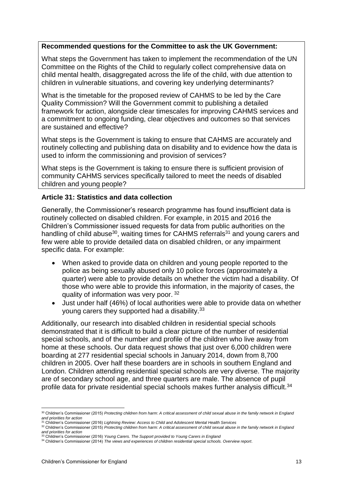#### **Recommended questions for the Committee to ask the UK Government:**

What steps the Government has taken to implement the recommendation of the UN Committee on the Rights of the Child to regularly collect comprehensive data on child mental health, disaggregated across the life of the child, with due attention to children in vulnerable situations, and covering key underlying determinants?

What is the timetable for the proposed review of CAHMS to be led by the Care Quality Commission? Will the Government commit to publishing a detailed framework for action, alongside clear timescales for improving CAHMS services and a commitment to ongoing funding, clear objectives and outcomes so that services are sustained and effective?

What steps is the Government is taking to ensure that CAHMS are accurately and routinely collecting and publishing data on disability and to evidence how the data is used to inform the commissioning and provision of services?

What steps is the Government is taking to ensure there is sufficient provision of community CAHMS services specifically tailored to meet the needs of disabled children and young people?

#### **Article 31: Statistics and data collection**

Generally, the Commissioner's research programme has found insufficient data is routinely collected on disabled children. For example, in 2015 and 2016 the Children's Commissioner issued requests for data from public authorities on the handling of child abuse<sup>30</sup>, waiting times for CAHMS referrals<sup>31</sup> and young carers and few were able to provide detailed data on disabled children, or any impairment specific data. For example:

- When asked to provide data on children and young people reported to the police as being sexually abused only 10 police forces (approximately a quarter) were able to provide details on whether the victim had a disability. Of those who were able to provide this information, in the majority of cases, the quality of information was very poor. <sup>32</sup>
- Just under half (46%) of local authorities were able to provide data on whether young carers they supported had a disability.<sup>33</sup>

Additionally, our research into disabled children in residential special schools demonstrated that it is difficult to build a clear picture of the number of residential special schools, and of the number and profile of the children who live away from home at these schools. Our data request shows that just over 6,000 children were boarding at 277 residential special schools in January 2014, down from 8,700 children in 2005. Over half these boarders are in schools in southern England and London. Children attending residential special schools are very diverse. The majority are of secondary school age, and three quarters are male. The absence of pupil profile data for private residential special schools makes further analysis difficult.<sup>34</sup>

**<sup>.</sup>** <sup>30</sup> Children's Commissioner (2015) *Protecting children from harm*: *A critical assessment of child sexual abuse in the family network in England and priorities for action* <sup>31</sup> Children's Commissioner (2016) *Lightning Review: Access to Child and Adolescent Mental Health Services*

<sup>&</sup>lt;sup>32</sup> Children's Commissioner (2015) *Protecting children from harm: A critical assessment of child sexual abuse in the family network in England <sup>32</sup> Children's Commissioner (2015) <i>Protecting children from harm: A critica and priorities for action* <sup>33</sup> Children's Commissioner (2016) *Young Carers. The Support provided to Young Carers in England*

<sup>34</sup> Children's Commissioner (2014) *The views and experiences of children residential special schools. Overview report*.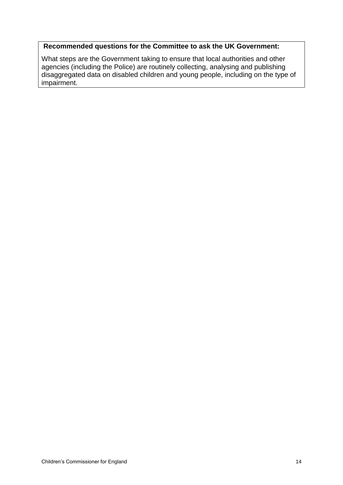# **Recommended questions for the Committee to ask the UK Government:**

What steps are the Government taking to ensure that local authorities and other agencies (including the Police) are routinely collecting, analysing and publishing disaggregated data on disabled children and young people, including on the type of impairment.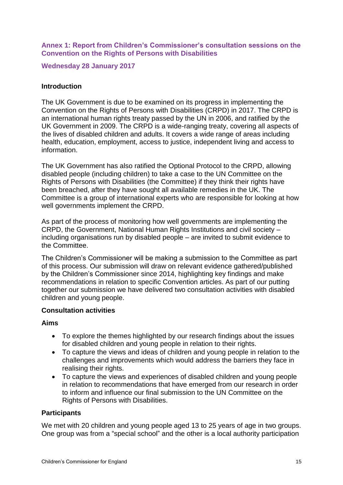**Annex 1: Report from Children's Commissioner's consultation sessions on the Convention on the Rights of Persons with Disabilities**

**Wednesday 28 January 2017**

#### **Introduction**

The UK Government is due to be examined on its progress in implementing the Convention on the Rights of Persons with Disabilities (CRPD) in 2017. The CRPD is an international human rights treaty passed by the UN in 2006, and ratified by the UK Government in 2009. The CRPD is a wide-ranging treaty, covering all aspects of the lives of disabled children and adults. It covers a wide range of areas including health, education, employment, access to justice, independent living and access to information.

The UK Government has also ratified the Optional Protocol to the CRPD, allowing disabled people (including children) to take a case to the UN Committee on the Rights of Persons with Disabilities (the Committee) if they think their rights have been breached, after they have sought all available remedies in the UK. The Committee is a group of international experts who are responsible for looking at how well governments implement the CRPD.

As part of the process of monitoring how well governments are implementing the CRPD, the Government, National Human Rights Institutions and civil society – including organisations run by disabled people – are invited to submit evidence to the Committee.

The Children's Commissioner will be making a submission to the Committee as part of this process. Our submission will draw on relevant evidence gathered/published by the Children's Commissioner since 2014, highlighting key findings and make recommendations in relation to specific Convention articles. As part of our putting together our submission we have delivered two consultation activities with disabled children and young people.

#### **Consultation activities**

#### **Aims**

- To explore the themes highlighted by our research findings about the issues for disabled children and young people in relation to their rights.
- To capture the views and ideas of children and young people in relation to the challenges and improvements which would address the barriers they face in realising their rights.
- To capture the views and experiences of disabled children and young people in relation to recommendations that have emerged from our research in order to inform and influence our final submission to the UN Committee on the Rights of Persons with Disabilities.

#### **Participants**

We met with 20 children and young people aged 13 to 25 years of age in two groups. One group was from a "special school" and the other is a local authority participation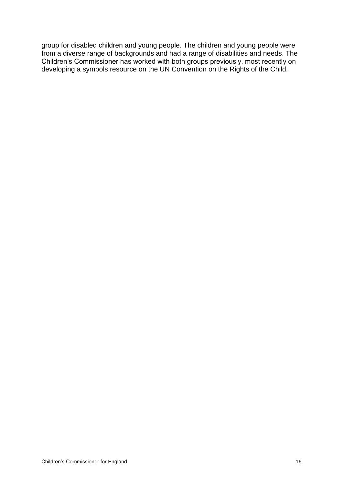group for disabled children and young people. The children and young people were from a diverse range of backgrounds and had a range of disabilities and needs. The Children's Commissioner has worked with both groups previously, most recently on developing a symbols resource on the UN Convention on the Rights of the Child.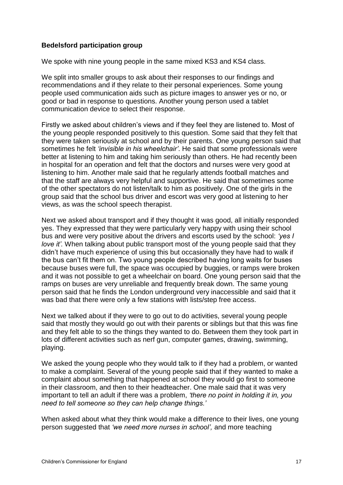## **Bedelsford participation group**

We spoke with nine young people in the same mixed KS3 and KS4 class.

We split into smaller groups to ask about their responses to our findings and recommendations and if they relate to their personal experiences. Some young people used communication aids such as picture images to answer yes or no, or good or bad in response to questions. Another young person used a tablet communication device to select their response.

Firstly we asked about children's views and if they feel they are listened to. Most of the young people responded positively to this question. Some said that they felt that they were taken seriously at school and by their parents. One young person said that sometimes he felt *'invisible in his wheelchair'*. He said that some professionals were better at listening to him and taking him seriously than others. He had recently been in hospital for an operation and felt that the doctors and nurses were very good at listening to him. Another male said that he regularly attends football matches and that the staff are always very helpful and supportive. He said that sometimes some of the other spectators do not listen/talk to him as positively. One of the girls in the group said that the school bus driver and escort was very good at listening to her views, as was the school speech therapist.

Next we asked about transport and if they thought it was good, all initially responded yes. They expressed that they were particularly very happy with using their school bus and were very positive about the drivers and escorts used by the school: *'yes I love it'*. When talking about public transport most of the young people said that they didn't have much experience of using this but occasionally they have had to walk if the bus can't fit them on. Two young people described having long waits for buses because buses were full, the space was occupied by buggies, or ramps were broken and it was not possible to get a wheelchair on board. One young person said that the ramps on buses are very unreliable and frequently break down. The same young person said that he finds the London underground very inaccessible and said that it was bad that there were only a few stations with lists/step free access.

Next we talked about if they were to go out to do activities, several young people said that mostly they would go out with their parents or siblings but that this was fine and they felt able to so the things they wanted to do. Between them they took part in lots of different activities such as nerf gun, computer games, drawing, swimming, playing.

We asked the young people who they would talk to if they had a problem, or wanted to make a complaint. Several of the young people said that if they wanted to make a complaint about something that happened at school they would go first to someone in their classroom, and then to their headteacher. One male said that it was very important to tell an adult if there was a problem, *'there no point in holding it in, you need to tell someone so they can help change things.'*

When asked about what they think would make a difference to their lives, one young person suggested that *'we need more nurses in school',* and more teaching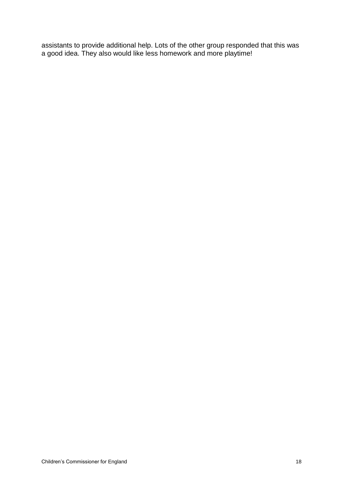assistants to provide additional help. Lots of the other group responded that this was a good idea. They also would like less homework and more playtime!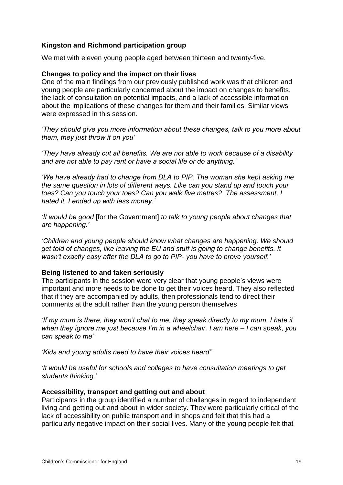#### **Kingston and Richmond participation group**

We met with eleven young people aged between thirteen and twenty-five.

#### **Changes to policy and the impact on their lives**

One of the main findings from our previously published work was that children and young people are particularly concerned about the impact on changes to benefits, the lack of consultation on potential impacts, and a lack of accessible information about the implications of these changes for them and their families. Similar views were expressed in this session.

*'They should give you more information about these changes, talk to you more about them, they just throw it on you'*

*'They have already cut all benefits. We are not able to work because of a disability and are not able to pay rent or have a social life or do anything.'* 

*'We have already had to change from DLA to PIP. The woman she kept asking me the same question in lots of different ways. Like can you stand up and touch your toes? Can you touch your toes? Can you walk five metres? The assessment, I hated it, I ended up with less money.'*

*'It would be good* [for the Government] *to talk to young people about changes that are happening.'*

*'Children and young people should know what changes are happening. We should get told of changes, like leaving the EU and stuff is going to change benefits. It wasn't exactly easy after the DLA to go to PIP- you have to prove yourself.'*

#### **Being listened to and taken seriously**

The participants in the session were very clear that young people's views were important and more needs to be done to get their voices heard. They also reflected that if they are accompanied by adults, then professionals tend to direct their comments at the adult rather than the young person themselves

*'If my mum is there, they won't chat to me, they speak directly to my mum. I hate it when they ignore me just because I'm in a wheelchair. I am here – I can speak, you can speak to me'* 

*'Kids and young adults need to have their voices heard"*

*'It would be useful for schools and colleges to have consultation meetings to get students thinking.'*

#### **Accessibility, transport and getting out and about**

Participants in the group identified a number of challenges in regard to independent living and getting out and about in wider society. They were particularly critical of the lack of accessibility on public transport and in shops and felt that this had a particularly negative impact on their social lives. Many of the young people felt that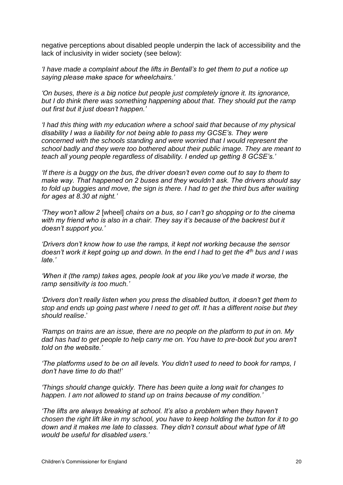negative perceptions about disabled people underpin the lack of accessibility and the lack of inclusivity in wider society (see below):

*'I have made a complaint about the lifts in Bentall's to get them to put a notice up saying please make space for wheelchairs.'*

*'On buses, there is a big notice but people just completely ignore it. Its ignorance, but I do think there was something happening about that. They should put the ramp out first but it just doesn't happen.'*

*'I had this thing with my education where a school said that because of my physical disability I was a liability for not being able to pass my GCSE's. They were concerned with the schools standing and were worried that I would represent the school badly and they were too bothered about their public image. They are meant to teach all young people regardless of disability. I ended up getting 8 GCSE's.'*

*'If there is a buggy on the bus, the driver doesn't even come out to say to them to make way. That happened on 2 buses and they wouldn't ask. The drivers should say to fold up buggies and move, the sign is there. I had to get the third bus after waiting for ages at 8.30 at night.'*

*'They won't allow 2* [wheel] *chairs on a bus, so I can't go shopping or to the cinema*  with my friend who is also in a chair. They say it's because of the backrest but it *doesn't support you.'*

*'Drivers don't know how to use the ramps, it kept not working because the sensor doesn't work it kept going up and down. In the end I had to get the 4th bus and I was late.'*

*'When it (the ramp) takes ages, people look at you like you've made it worse, the ramp sensitivity is too much.'*

*'Drivers don't really listen when you press the disabled button, it doesn't get them to stop and ends up going past where I need to get off. It has a different noise but they should realise*.'

*'Ramps on trains are an issue, there are no people on the platform to put in on. My dad has had to get people to help carry me on. You have to pre-book but you aren't told on the website.'*

*'The platforms used to be on all levels. You didn't used to need to book for ramps, I don't have time to do that!'*

*'Things should change quickly. There has been quite a long wait for changes to happen. I am not allowed to stand up on trains because of my condition.'*

*'The lifts are always breaking at school. It's also a problem when they haven't chosen the right lift like in my school, you have to keep holding the button for it to go down and it makes me late to classes. They didn't consult about what type of lift would be useful for disabled users.'*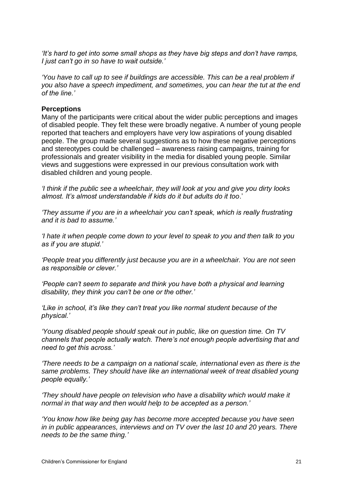*'It's hard to get into some small shops as they have big steps and don't have ramps, I just can't go in so have to wait outside.'*

'You have to call up to see if buildings are accessible. This can be a real problem if *you also have a speech impediment, and sometimes, you can hear the tut at the end of the line.'*

#### **Perceptions**

Many of the participants were critical about the wider public perceptions and images of disabled people. They felt these were broadly negative. A number of young people reported that teachers and employers have very low aspirations of young disabled people. The group made several suggestions as to how these negative perceptions and stereotypes could be challenged – awareness raising campaigns, training for professionals and greater visibility in the media for disabled young people. Similar views and suggestions were expressed in our previous consultation work with disabled children and young people.

*'I think if the public see a wheelchair, they will look at you and give you dirty looks almost. It's almost understandable if kids do it but adults do it too*.'

*'They assume if you are in a wheelchair you can't speak, which is really frustrating and it is bad to assume.'*

*'I hate it when people come down to your level to speak to you and then talk to you as if you are stupid.'*

*'People treat you differently just because you are in a wheelchair. You are not seen as responsible or clever.'*

*'People can't seem to separate and think you have both a physical and learning disability, they think you can't be one or the other.'*

*'Like in school, it's like they can't treat you like normal student because of the physical.'*

*'Young disabled people should speak out in public, like on question time. On TV channels that people actually watch. There's not enough people advertising that and need to get this across.'*

*'There needs to be a campaign on a national scale, international even as there is the same problems. They should have like an international week of treat disabled young people equally.'*

*'They should have people on television who have a disability which would make it normal in that way and then would help to be accepted as a person.'*

*'You know how like being gay has become more accepted because you have seen in in public appearances, interviews and on TV over the last 10 and 20 years. There needs to be the same thing.'*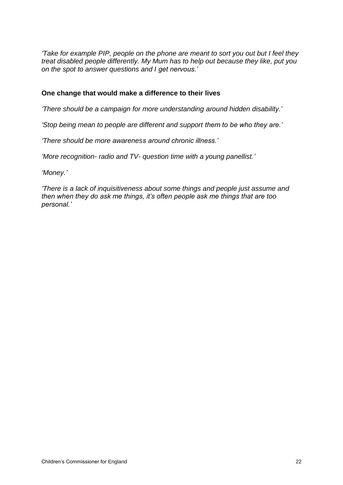*'Take for example PIP, people on the phone are meant to sort you out but I feel they treat disabled people differently. My Mum has to help out because they like, put you on the spot to answer questions and I get nervous.'*

#### **One change that would make a difference to their lives**

*'There should be a campaign for more understanding around hidden disability.'*

*'Stop being mean to people are different and support them to be who they are.'*

*'There should be more awareness around chronic illness.'*

*'More recognition- radio and TV- question time with a young panellist.'*

*'Money.'*

*'There is a lack of inquisitiveness about some things and people just assume and then when they do ask me things, it's often people ask me things that are too personal.'*